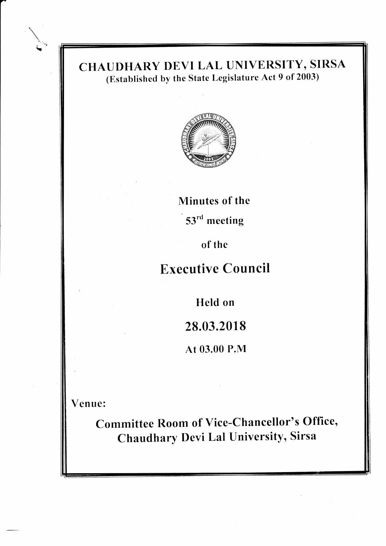### CHAUDHARY DEVI LAL UNIVERSITY, SIRSA (Established by the State Legislature Act 9 of 2003)



Minutes of the  $53<sup>rd</sup>$  meeting

of the

**Executive Council** 

Held on 28.03.2018 At 03.00 P.M

Venue:

Committee Room of Vice-Chancellor's Office, Chaudhary Devi Lal University, Sirsa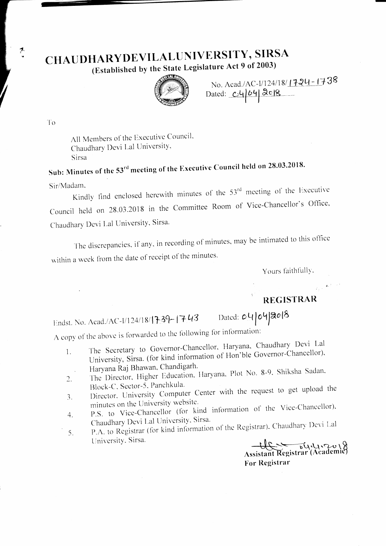# CHAUDHARYDEVILALUNIVERSITY, SIRSA

(Established by the State Legislature Act 9 of 2003)



No. Acad./AC-1/124/18/1724-1738<br>Dated: 04/04/2018

To

 $\sum_{i=1}^{n}$ 

All Members of the Executive Council, Chaudhary Devi Lal University, Sirsa

Sub: Minutes of the 53<sup>rd</sup> meeting of the Executive Council held on 28.03.2018. Sir/Madam,

Kindly find enclosed herewith minutes of the 53<sup>rd</sup> meeting of the Executive Council held on 28.03.2018 in the Committee Room of Vice-Chancellor's Office, Chaudhary Devi Lal University, Sirsa.

The discrepancies, if any, in recording of minutes, may be intimated to this office within a week from the date of receipt of the minutes.

Yours faithfully.

### REGISTRAR

Dated: 04/04/2018 Endst. No. Acad./AC-I/124/18/17-39-17-43

A copy of the above is forwarded to the following for information:

- The Secretary to Governor-Chancellor, Haryana, Chaudhary Devi Lal University, Sirsa. (for kind information of Hon'ble Governor-Chancellor),  $\mathbf{1}$ . Haryana Raj Bhawan, Chandigarh.
- The Director, Higher Education, Haryana, Plot No. 8-9, Shiksha Sadan,  $2.$ Block-C, Sector-5, Panchkula.
- Director. University Computer Center with the request to get upload the  $\mathfrak{Z}$ . minutes on the University website.
- P.S. to Vice-Chancellor (for kind information of the Vice-Chancellor), 4. Chaudhary Devi Lal University, Sirsa.
- P.A. to Registrar (for kind information of the Registrar), Chaudhary Devi Lal 5. University, Sirsa.

Assistant Registrar (Academic) **For Registrar**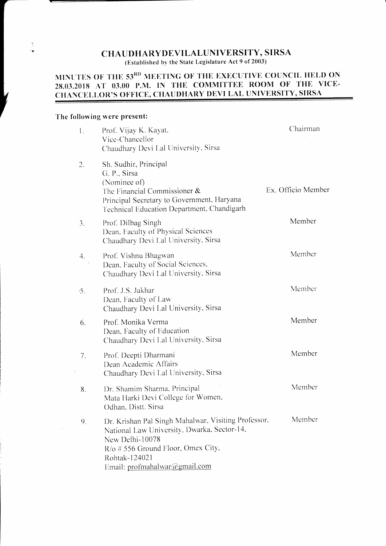# **CHAUDHARYDEVILALUNIVERSITY, SIRSA**<br>(Established by the State Legislature Act 9 of 2003)

## MINUTES OF THE 53<sup>RD</sup> MEETING OF THE EXECUTIVE COUNCIL HELD ON 28.03.2018 AT 03.00 P.M. IN THE COMMITTEE ROOM OF THE VICE-CHANCELLOR'S OFFICE, CHAUDHARY DEVI LAL UNIVERSITY, SIRSA

#### The following were present:

| $\mathbf{1}$ . | Prof. Vijay K. Kayat,<br>Vice-Chancellor<br>Chaudhary Devi Lal University, Sirsa                                                                                                                              | Chairman           |
|----------------|---------------------------------------------------------------------------------------------------------------------------------------------------------------------------------------------------------------|--------------------|
| 2.             | Sh. Sudhir, Principal<br>G. P., Sirsa<br>(Nominee of)<br>The Financial Commissioner $\&$<br>Principal Secretary to Government, Haryana<br>Technical Education Department, Chandigarh                          | Ex. Officio Member |
| 3.             | Prof. Dilbag Singh<br>Dean, Faculty of Physical Sciences<br>Chaudhary Devi Lal University, Sirsa                                                                                                              | Member             |
| 4.             | Prof. Vishnu Bhagwan<br>Dean, Faculty of Social Sciences,<br>Chaudhary Devi Lal University, Sirsa                                                                                                             | Member             |
| $\cdot$ 5.     | Prof. J.S. Jakhar<br>Dean, Faculty of Law<br>Chaudhary Devi Lal University, Sirsa                                                                                                                             | Member             |
| 6.             | Prof. Monika Verma<br>Dean, Faculty of Education<br>Chaudhary Devi Lal University, Sirsa                                                                                                                      | Member             |
| 7.             | Prof. Deepti Dharmani<br>Dean Academic Affairs<br>Chaudhary Devi Lal University, Sirsa                                                                                                                        | Member             |
| 8.             | Dr. Shamim Sharma, Principal<br>Mata Harki Devi College for Women,<br>Odhan, Distt. Sirsa                                                                                                                     | Member             |
| 9.             | Dr. Krishan Pal Singh Mahalwar, Visiting Professor,<br>National Law University, Dwarka, Sector-14,<br>New Delhi-10078<br>R/o # 556 Ground Floor, Omex City,<br>Rohtak-124021<br>Email: profmahalwar@gmail.com | Member             |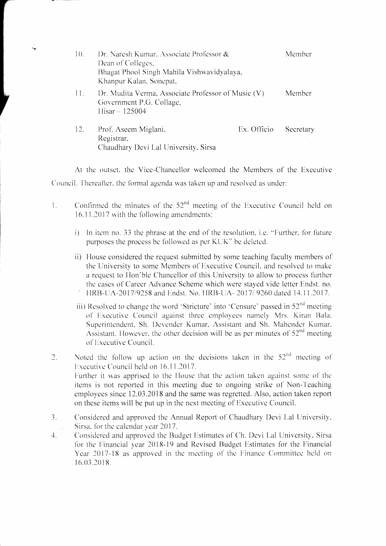| 10. | Dr. Naresh Kumar, Associate Professor &<br>Dean of Colleges.<br>Bhagat Phool Singh Mahila Vishwavidyalaya,<br>Khanpur Kalan, Sonepat, |             | Member    |
|-----|---------------------------------------------------------------------------------------------------------------------------------------|-------------|-----------|
| 11. | Dr. Mudita Verma, Associate Professor of Music (V)<br>Government P.G. Collage,<br>$Hisar - 125004$                                    |             | Member    |
| 12. | Prof. Aseem Miglani,<br>Registrar,<br>Chaudhary Devi Lal University, Sirsa                                                            | Ex. Officio | Secretary |

At the outset, the Vice-Chancellor welcomed the Members of the Executive Council. Thereafter, the formal agenda was taken up and resolved as under:

- Confirmed the minutes of the  $52<sup>nd</sup>$  meeting of the Executive Council held on  $\mathbf{1}$ . 16.11.2017 with the following amendments:
	- i) In item no. 33 the phrase at the end of the resolution, i.e. "Further, for future purposes the process be followed as per KUK" be deleted.
	- ii) House considered the request submitted by some teaching faculty members of the University to some Members of Executive Council, and resolved to make a request to Hon'ble Chancellor of this University to allow to process further the cases of Career Advance Scheme which were stayed vide letter Endst. no. HRB-UA-2017/9258 and Endst. No. HRB-UA-2017/9260 dated 14.11.2017.
	- iii) Resolved to change the word 'Stricture' into 'Censure' passed in 52<sup>nd</sup> meeting of Executive Council against three employees namely Mrs. Kiran Bala. Superintendent, Sh. Devender Kumar, Assistant and Sh. Mahender Kumar, Assistant. However, the other decision will be as per minutes of  $52<sup>nd</sup>$  meeting of Executive Council.
- Noted the follow up action on the decisions taken in the  $52<sup>nd</sup>$  meeting of  $2.$ Executive Council held on 16.11.2017. Further it was apprised to the House that the action taken against some of the items is not reported in this meeting due to ongoing strike of Non-Teaching employees since 12.03.2018 and the same was regretted. Also, action taken report on these items will be put up in the next meeting of Executive Council.
- Considered and approved the Annual Report of Chaudhary Devi Lal University,  $\mathfrak{Z}$ . Sirsa, for the calendar year 2017.
- Considered and approved the Budget Estimates of Ch. Devi Lal University, Sirsa  $4.$ for the Financial year 2018-19 and Revised Budget Estimates for the Financial Year 2017-18 as approved in the meeting of the Finance Committee held on 16.03.2018.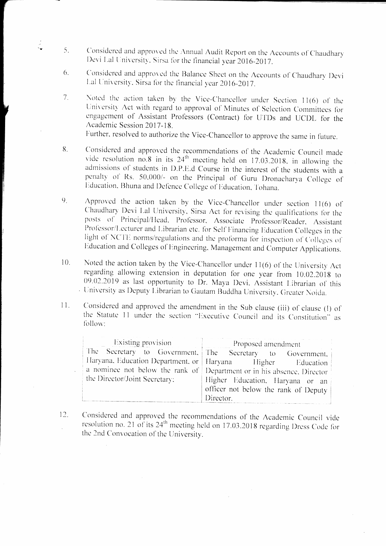Considered and approved the Annual Audit Report on the Accounts of Chaudhary 5. Devi Lal University, Sirsa for the financial year 2016-2017.

 $\frac{1}{2}$ 

- Considered and approved the Balance Sheet on the Accounts of Chaudhary Devi 6. Lal University, Sirsa for the financial year 2016-2017.
- Noted the action taken by the Vice-Chancellor under Section 11(6) of the  $7<sub>1</sub>$ University Act with regard to approval of Minutes of Selection Committees for engagement of Assistant Professors (Contract) for UTDs and UCDL for the Academic Session 2017-18.

Further, resolved to authorize the Vice-Chancellor to approve the same in future.

- Considered and approved the recommendations of the Academic Council made 8. vide resolution no.8 in its  $24<sup>th</sup>$  meeting held on 17.03.2018, in allowing the admissions of students in D.P.E.d Course in the interest of the students with a penalty of Rs. 50,000/- on the Principal of Guru Dronacharya College of Education, Bhuna and Defence College of Education, Tohana.
- $9<sub>1</sub>$ Approved the action taken by the Vice-Chancellor under section 11(6) of Chaudhary Devi Lal University, Sirsa Act for revising the qualifications for the posts of Principal/Head, Professor, Associate Professor/Reader, Assistant Professor/Lecturer and Librarian etc. for Self Financing Education Colleges in the light of NCTE norms/regulations and the proforma for inspection of Colleges of Education and Colleges of Engineering, Management and Computer Applications.
- Noted the action taken by the Vice-Chancellor under 11(6) of the University Act  $10.$ regarding allowing extension in deputation for one year from 10.02.2018 to 09.02.2019 as last opportunity to Dr. Maya Devi. Assistant Librarian of this - University as Deputy Librarian to Gautam Buddha University, Greater Noida.
- Considered and approved the amendment in the Sub clause (iii) of clause (I) of  $11.$ the Statute 11 under the section "Executive Council and its Constitution" as follow:

| Existing provision            | Proposed amendment                                                                                                                                                                                                                                                                          |  |
|-------------------------------|---------------------------------------------------------------------------------------------------------------------------------------------------------------------------------------------------------------------------------------------------------------------------------------------|--|
| the Director/Joint Secretary: | The Secretary to Government, The Secretary to Government,<br>Haryana, Education Department, or   Haryana Higher Education<br>a nominee not below the rank of Department or in his absence. Director<br>Higher Education, Haryana or an<br>officer not below the rank of Deputy<br>Director. |  |

Considered and approved the recommendations of the Academic Council vide 12. resolution no. 21 of its 24<sup>th</sup> meeting held on 17.03.2018 regarding Dress Code for the 2nd Convocation of the University.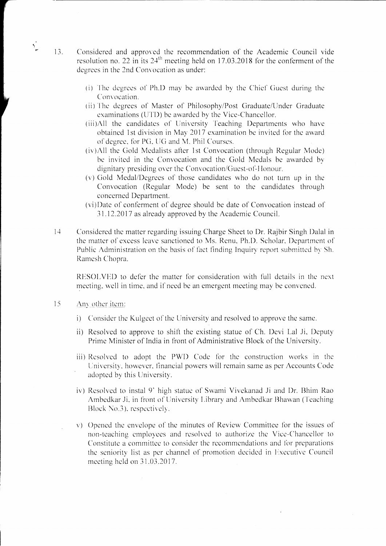13. Considered and approved the recommendation of the Academic Council vide resolution no. 22 in its  $24<sup>th</sup>$  meeting held on 17.03.2018 for the conferment of the degrees in the 2nd Convocation as under:

- (i) The degrees of Ph.D may be awarded by the Chief Guest during the Convocation.
- (ii) l'hc dcgrees of Master of Philosophy/Post Graduate/lJnder Graduate examinations (UTD) be awarded by the Vice-Chancellor.
- (iii)All the candidates of University Teaching Departments who have obtained 1st division in May 2017 examination be invited for the award of degree, for PG, UG and M. Phil Courses.
- $(iv)$ All the Gold Medalists after 1st Convocation (through Regular Mode) be invited in the Convocation and the Gold Medals be awarded by dignitary presiding over the Convocation/Guest-of-Honour.
- (v) Gold Medal/Degrees of those candidates who do not turn up in the Convocation (Regular Mode) be sent to the candidates through concerned Department.
- (vi)Date of conferment of degree should be date of Convocation instead of 31.12.2017 as already approved by the Academic Council.
- 14 Considered the matter regarding issuing Charge Sheet to Dr. Rajbir Singh Dalal in the matter of excess leave sanctioned to Ms. Renu, Ph.D. Scholar, Department of Public Administration on the basis of fact finding Inquiry report submitted by Sh. Ramesh Chopra.

RESOLVED to defer the matter for consideration with full details in the next meeting, well in time, and if need be an emergent meeting may be convened.

- Any other item: l5
	- i) Consider the Kulgect of the University and resolved to approve the same.
	- ii) Resolved to approve to shift the existing statue of Ch. Devi Lal Ji, Deputy Prirne Minister of India in front of Administrative Block of the University.
	- iii) Resolved to adopt the PWD Code for the construction works in the University, however, financial powers will remain same as per Accounts Code adopted by this University.
	- iv) Resolved to instal 9' high statue of Swami Vivekanad Ji and Dr. Bhim Rao Ambedkar Ji, in-front of University Library and Ambedkar Bhawan (Teaching Block No.3), respectively.
	- v) Opened the envelope of the minutes of Review Committee for the issues of non-teaching employees and resolved to authorize the Vice-Chancellor to Constitute a committee to consider the recommendations and for preparations the seniority list as per channel of promotion decided in Executive Council meeting held on  $31.03.2017$ .

 $\frac{1}{2}$